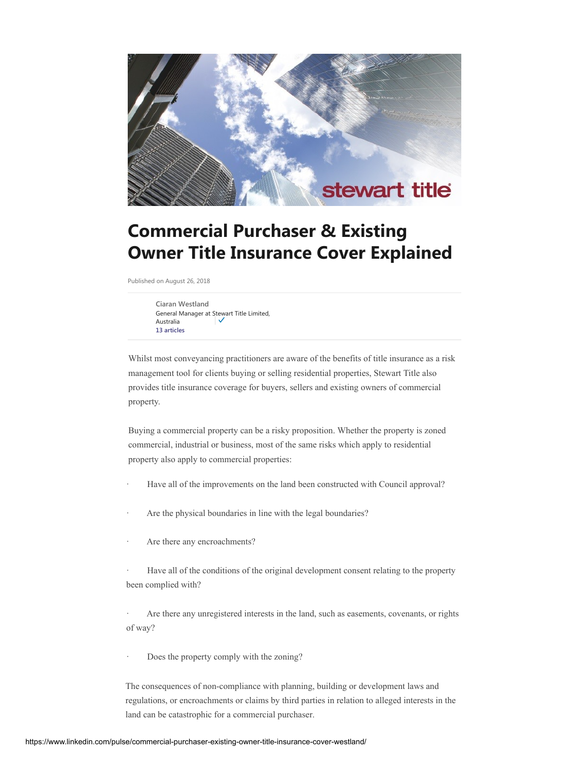

# **Commercial Purchaser & Existing Owner Title Insurance Cover Explained**

Published on August 26, 2018

**[Ciaran Westland](https://www.linkedin.com/in/ciaran-westland-69432b30/)** General Manager at Stewart Title Limited, [A](https://www.linkedin.com/in/ciaran-westland-69432b30/)ustralia **[13 articles](https://www.linkedin.com/in/ciaran-westland-69432b30/detail/recent-activity/posts/)**

Whilst most conveyancing practitioners are aware of the benefits of title insurance as a risk management tool for clients buying or selling residential properties, Stewart Title also provides title insurance coverage for buyers, sellers and existing owners of commercial property.

Buying a commercial property can be a risky proposition. Whether the property is zoned commercial, industrial or business, most of the same risks which apply to residential property also apply to commercial properties:

- Have all of the improvements on the land been constructed with Council approval?
- Are the physical boundaries in line with the legal boundaries?
- Are there any encroachments?
- Have all of the conditions of the original development consent relating to the property been complied with?

· Are there any unregistered interests in the land, such as easements, covenants, or rights of way?

Does the property comply with the zoning?

The consequences of non-compliance with planning, building or development laws and regulations, or encroachments or claims by third parties in relation to alleged interests in the land can be catastrophic for a commercial purchaser.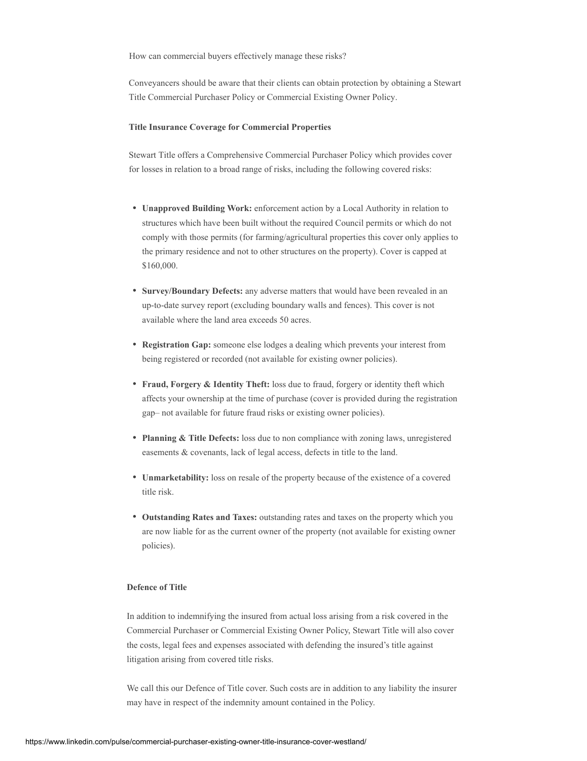How can commercial buyers effectively manage these risks?

Conveyancers should be aware that their clients can obtain protection by obtaining a Stewart Title Commercial Purchaser Policy or Commercial Existing Owner Policy.

### **Title Insurance Coverage for Commercial Properties**

Stewart Title offers a Comprehensive Commercial Purchaser Policy which provides cover for losses in relation to a broad range of risks, including the following covered risks:

- **Unapproved Building Work:** enforcement action by a Local Authority in relation to structures which have been built without the required Council permits or which do not comply with those permits (for farming/agricultural properties this cover only applies to the primary residence and not to other structures on the property). Cover is capped at \$160,000.
- **Survey/Boundary Defects:** any adverse matters that would have been revealed in an up-to-date survey report (excluding boundary walls and fences). This cover is not available where the land area exceeds 50 acres.
- **Registration Gap:** someone else lodges a dealing which prevents your interest from being registered or recorded (not available for existing owner policies).
- **Fraud, Forgery & Identity Theft:** loss due to fraud, forgery or identity theft which affects your ownership at the time of purchase (cover is provided during the registration gap– not available for future fraud risks or existing owner policies).
- **Planning & Title Defects:** loss due to non compliance with zoning laws, unregistered easements & covenants, lack of legal access, defects in title to the land.
- **Unmarketability:** loss on resale of the property because of the existence of a covered title risk.
- **Outstanding Rates and Taxes:** outstanding rates and taxes on the property which you are now liable for as the current owner of the property (not available for existing owner policies).

## **Defence of Title**

In addition to indemnifying the insured from actual loss arising from a risk covered in the Commercial Purchaser or Commercial Existing Owner Policy, Stewart Title will also cover the costs, legal fees and expenses associated with defending the insured's title against litigation arising from covered title risks.

We call this our Defence of Title cover. Such costs are in addition to any liability the insurer may have in respect of the indemnity amount contained in the Policy.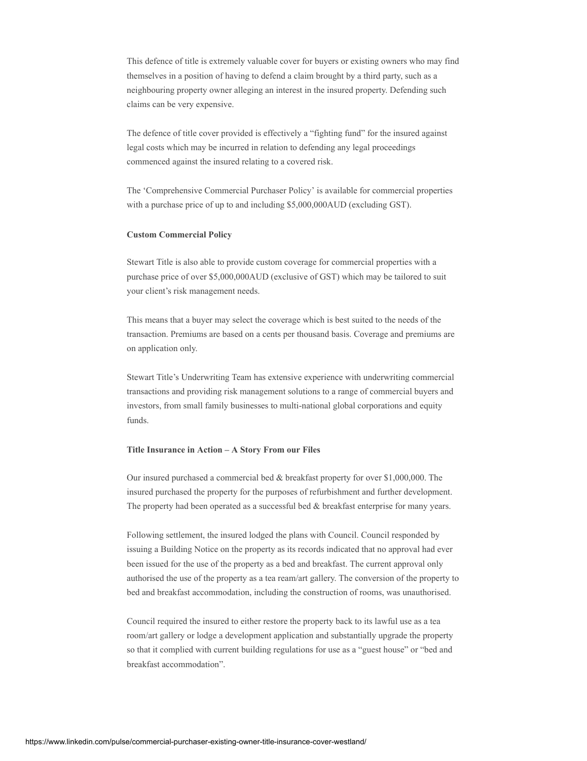This defence of title is extremely valuable cover for buyers or existing owners who may find themselves in a position of having to defend a claim brought by a third party, such as a neighbouring property owner alleging an interest in the insured property. Defending such claims can be very expensive.

The defence of title cover provided is effectively a "fighting fund" for the insured against legal costs which may be incurred in relation to defending any legal proceedings commenced against the insured relating to a covered risk.

The 'Comprehensive Commercial Purchaser Policy' is available for commercial properties with a purchase price of up to and including \$5,000,000AUD (excluding GST).

# **Custom Commercial Policy**

Stewart Title is also able to provide custom coverage for commercial properties with a purchase price of over \$5,000,000AUD (exclusive of GST) which may be tailored to suit your client's risk management needs.

This means that a buyer may select the coverage which is best suited to the needs of the transaction. Premiums are based on a cents per thousand basis. Coverage and premiums are on application only.

Stewart Title's Underwriting Team has extensive experience with underwriting commercial transactions and providing risk management solutions to a range of commercial buyers and investors, from small family businesses to multi-national global corporations and equity funds.

#### **Title Insurance in Action – A Story From our Files**

Our insured purchased a commercial bed & breakfast property for over \$1,000,000. The insured purchased the property for the purposes of refurbishment and further development. The property had been operated as a successful bed  $&$  breakfast enterprise for many years.

Following settlement, the insured lodged the plans with Council. Council responded by issuing a Building Notice on the property as its records indicated that no approval had ever been issued for the use of the property as a bed and breakfast. The current approval only authorised the use of the property as a tea ream/art gallery. The conversion of the property to bed and breakfast accommodation, including the construction of rooms, was unauthorised.

Council required the insured to either restore the property back to its lawful use as a tea room/art gallery or lodge a development application and substantially upgrade the property so that it complied with current building regulations for use as a "guest house" or "bed and breakfast accommodation".